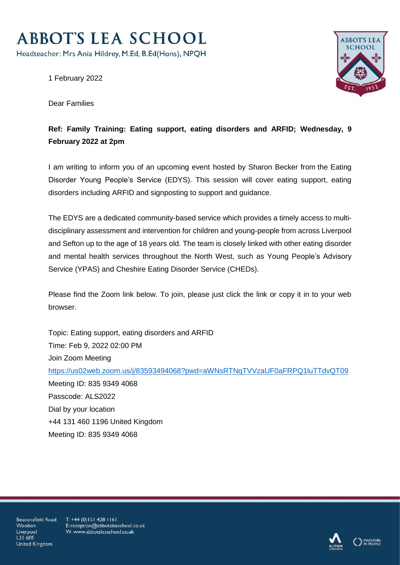## **ABBOT'S LEA SCHOOL**

Headteacher: Mrs Ania Hildrey, M.Ed, B.Ed(Hons), NPQH

1 February 2022

Dear Families



## **Ref: Family Training: Eating support, eating disorders and ARFID; Wednesday, 9 February 2022 at 2pm**

I am writing to inform you of an upcoming event hosted by Sharon Becker from the Eating Disorder Young People's Service (EDYS). This session will cover eating support, eating disorders including ARFID and signposting to support and guidance.

The EDYS are a dedicated community-based service which provides a timely access to multidisciplinary assessment and intervention for children and young-people from across Liverpool and Sefton up to the age of 18 years old. The team is closely linked with other eating disorder and mental health services throughout the North West, such as Young People's Advisory Service (YPAS) and Cheshire Eating Disorder Service (CHEDs).

Please find the Zoom link below. To join, please just click the link or copy it in to your web browser.

Topic: Eating support, eating disorders and ARFID Time: Feb 9, 2022 02:00 PM Join Zoom Meeting <https://us02web.zoom.us/j/83593494068?pwd=aWNsRTNqTVVzaUF0aFRPQ1luTTdvQT09> Meeting ID: 835 9349 4068 Passcode: ALS2022 Dial by your location +44 131 460 1196 United Kingdom Meeting ID: 835 9349 4068

Beaconsfield Road Woolton Liverpool **L25 6FF** United Kingdom

 $T: +44(0)1514281161$ E: reception@abbotsleaschool.co.uk W: www.abbotsleaschool.co.uk